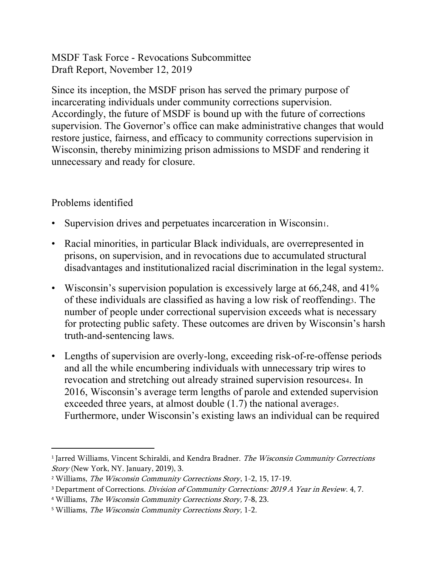MSDF Task Force - Revocations Subcommittee Draft Report, November 12, 2019

Since its inception, the MSDF prison has served the primary purpose of incarcerating individuals under community corrections supervision. Accordingly, the future of MSDF is bound up with the future of corrections supervision. The Governor's office can make administrative changes that would restore justice, fairness, and efficacy to community corrections supervision in Wisconsin, thereby minimizing prison admissions to MSDF and rendering it unnecessary and ready for closure.

## Problems identified

- Supervision drives and perpetuates incarceration in Wisconsin
- Racial minorities, in particular Black individuals, are overrepresented in prisons, on supervision, and in revocations due to accumulated structural disadvantages and institutionalized racial discrimination in the legal system2.
- Wisconsin's supervision population is excessively large at 66,248, and 41% of these individuals are classified as having a low risk of reoffending3. The number of people under correctional supervision exceeds what is necessary for protecting public safety. These outcomes are driven by Wisconsin's harsh truth-and-sentencing laws.
- Lengths of supervision are overly-long, exceeding risk-of-re-offense periods and all the while encumbering individuals with unnecessary trip wires to revocation and stretching out already strained supervision resources4. In 2016, Wisconsin's average term lengths of parole and extended supervision exceeded three years, at almost double  $(1.7)$  the national averages. Furthermore, under Wisconsin's existing laws an individual can be required

<sup>&</sup>lt;sup>1</sup> Jarred Williams, Vincent Schiraldi, and Kendra Bradner. *The Wisconsin Community Corrections* Story (New York, NY. January, 2019), 3.

<sup>2</sup> Williams, The Wisconsin Community Corrections Story, 1-2, 15, 17-19.

<sup>&</sup>lt;sup>3</sup> Department of Corrections. Division of Community Corrections: 2019 A Year in Review. 4, 7.

<sup>4</sup> Williams, The Wisconsin Community Corrections Story, 7-8, 23.

<sup>&</sup>lt;sup>5</sup> Williams, *The Wisconsin Community Corrections Story*, 1-2.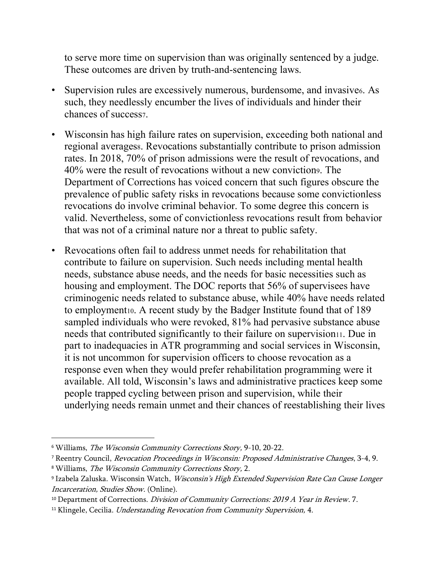to serve more time on supervision than was originally sentenced by a judge. These outcomes are driven by truth-and-sentencing laws.

- Supervision rules are excessively numerous, burdensome, and invasive6. As such, they needlessly encumber the lives of individuals and hinder their chances of success7.
- Wisconsin has high failure rates on supervision, exceeding both national and regional averagess. Revocations substantially contribute to prison admission rates. In 2018, 70% of prison admissions were the result of revocations, and 40% were the result of revocations without a new conviction9. The Department of Corrections has voiced concern that such figures obscure the prevalence of public safety risks in revocations because some convictionless revocations do involve criminal behavior. To some degree this concern is valid. Nevertheless, some of convictionless revocations result from behavior that was not of a criminal nature nor a threat to public safety.
- Revocations often fail to address unmet needs for rehabilitation that contribute to failure on supervision. Such needs including mental health needs, substance abuse needs, and the needs for basic necessities such as housing and employment. The DOC reports that 56% of supervisees have criminogenic needs related to substance abuse, while 40% have needs related to employment to. A recent study by the Badger Institute found that of 189 sampled individuals who were revoked, 81% had pervasive substance abuse needs that contributed significantly to their failure on supervision11. Due in part to inadequacies in ATR programming and social services in Wisconsin, it is not uncommon for supervision officers to choose revocation as a response even when they would prefer rehabilitation programming were it available. All told, Wisconsin's laws and administrative practices keep some people trapped cycling between prison and supervision, while their underlying needs remain unmet and their chances of reestablishing their lives

<sup>7</sup> Reentry Council, Revocation Proceedings in Wisconsin: Proposed Administrative Changes, 3-4, 9. <sup>8</sup> Williams, The Wisconsin Community Corrections Story, 2.

<sup>6</sup> Williams, The Wisconsin Community Corrections Story, 9-10, 20-22.

<sup>&</sup>lt;sup>9</sup> Izabela Zaluska. Wisconsin Watch, *Wisconsin's High Extended Supervision Rate Can Cause Longer* Incarceration, Studies Show. (Online).

<sup>&</sup>lt;sup>10</sup> Department of Corrections. Division of Community Corrections: 2019 A Year in Review. 7.

<sup>&</sup>lt;sup>11</sup> Klingele, Cecilia. *Understanding Revocation from Community Supervision*, 4.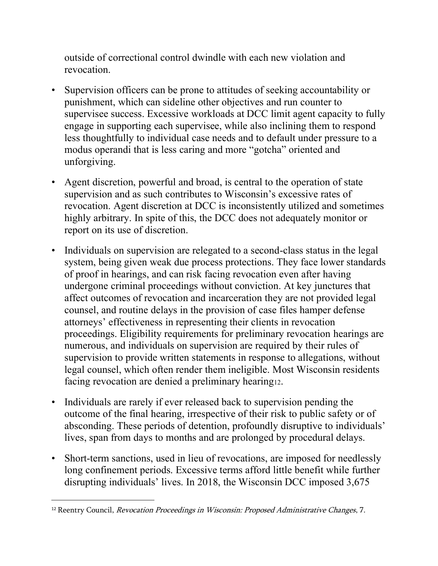outside of correctional control dwindle with each new violation and revocation.

- Supervision officers can be prone to attitudes of seeking accountability or punishment, which can sideline other objectives and run counter to supervisee success. Excessive workloads at DCC limit agent capacity to fully engage in supporting each supervisee, while also inclining them to respond less thoughtfully to individual case needs and to default under pressure to a modus operandi that is less caring and more "gotcha" oriented and unforgiving.
- Agent discretion, powerful and broad, is central to the operation of state supervision and as such contributes to Wisconsin's excessive rates of revocation. Agent discretion at DCC is inconsistently utilized and sometimes highly arbitrary. In spite of this, the DCC does not adequately monitor or report on its use of discretion.
- Individuals on supervision are relegated to a second-class status in the legal system, being given weak due process protections. They face lower standards of proof in hearings, and can risk facing revocation even after having undergone criminal proceedings without conviction. At key junctures that affect outcomes of revocation and incarceration they are not provided legal counsel, and routine delays in the provision of case files hamper defense attorneys' effectiveness in representing their clients in revocation proceedings. Eligibility requirements for preliminary revocation hearings are numerous, and individuals on supervision are required by their rules of supervision to provide written statements in response to allegations, without legal counsel, which often render them ineligible. Most Wisconsin residents facing revocation are denied a preliminary hearing12.
- Individuals are rarely if ever released back to supervision pending the outcome of the final hearing, irrespective of their risk to public safety or of absconding. These periods of detention, profoundly disruptive to individuals' lives, span from days to months and are prolonged by procedural delays.
- Short-term sanctions, used in lieu of revocations, are imposed for needlessly long confinement periods. Excessive terms afford little benefit while further disrupting individuals' lives. In 2018, the Wisconsin DCC imposed 3,675

 $12$  Reentry Council, Revocation Proceedings in Wisconsin: Proposed Administrative Changes, 7.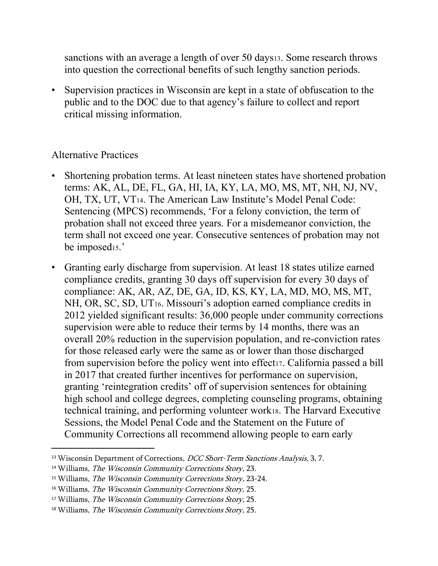sanctions with an average a length of over 50 days13. Some research throws into question the correctional benefits of such lengthy sanction periods.

• Supervision practices in Wisconsin are kept in a state of obfuscation to the public and to the DOC due to that agency's failure to collect and report critical missing information.

#### Alternative Practices

- Shortening probation terms. At least nineteen states have shortened probation terms: AK, AL, DE, FL, GA, HI, IA, KY, LA, MO, MS, MT, NH, NJ, NV, OH, TX, UT, VT14. The American Law Institute's Model Penal Code: Sentencing (MPCS) recommends, 'For a felony conviction, the term of probation shall not exceed three years. For a misdemeanor conviction, the term shall not exceed one year. Consecutive sentences of probation may not be imposed<sub>15</sub>.'
- Granting early discharge from supervision. At least 18 states utilize earned compliance credits, granting 30 days off supervision for every 30 days of compliance: AK, AR, AZ, DE, GA, ID, KS, KY, LA, MD, MO, MS, MT, NH, OR, SC, SD, UT16. Missouri's adoption earned compliance credits in 2012 yielded significant results: 36,000 people under community corrections supervision were able to reduce their terms by 14 months, there was an overall 20% reduction in the supervision population, and re-conviction rates for those released early were the same as or lower than those discharged from supervision before the policy went into effect<sub>17</sub>. California passed a bill in 2017 that created further incentives for performance on supervision, granting 'reintegration credits' off of supervision sentences for obtaining high school and college degrees, completing counseling programs, obtaining technical training, and performing volunteer work18. The Harvard Executive Sessions, the Model Penal Code and the Statement on the Future of Community Corrections all recommend allowing people to earn early

<sup>&</sup>lt;sup>13</sup> Wisconsin Department of Corrections, *DCC Short-Term Sanctions Analysis*, 3, 7.

<sup>14</sup> Williams, The Wisconsin Community Corrections Story, 23.

<sup>15</sup> Williams, The Wisconsin Community Corrections Story, 23-24.

<sup>16</sup> Williams, The Wisconsin Community Corrections Story, 25.

<sup>17</sup> Williams, The Wisconsin Community Corrections Story, 25.

<sup>18</sup> Williams, The Wisconsin Community Corrections Story, 25.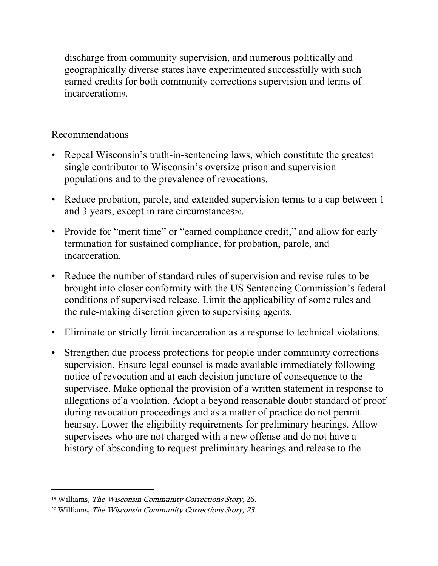discharge from community supervision, and numerous politically and geographically diverse states have experimented successfully with such earned credits for both community corrections supervision and terms of incarceration<sub>19</sub>.

### Recommendations

- Repeal Wisconsin's truth-in-sentencing laws, which constitute the greatest single contributor to Wisconsin's oversize prison and supervision populations and to the prevalence of revocations.
- Reduce probation, parole, and extended supervision terms to a cap between 1 and 3 years, except in rare circumstances20.
- Provide for "merit time" or "earned compliance credit," and allow for early termination for sustained compliance, for probation, parole, and incarceration.
- Reduce the number of standard rules of supervision and revise rules to be brought into closer conformity with the US Sentencing Commission's federal conditions of supervised release. Limit the applicability of some rules and the rule-making discretion given to supervising agents.
- Eliminate or strictly limit incarceration as a response to technical violations.
- Strengthen due process protections for people under community corrections supervision. Ensure legal counsel is made available immediately following notice of revocation and at each decision juncture of consequence to the supervisee. Make optional the provision of a written statement in response to allegations of a violation. Adopt a beyond reasonable doubt standard of proof during revocation proceedings and as a matter of practice do not permit hearsay. Lower the eligibility requirements for preliminary hearings. Allow supervisees who are not charged with a new offense and do not have a history of absconding to request preliminary hearings and release to the

<sup>19</sup> Williams, The Wisconsin Community Corrections Story, 26.

<sup>20</sup> Williams, The Wisconsin Community Corrections Story, 23.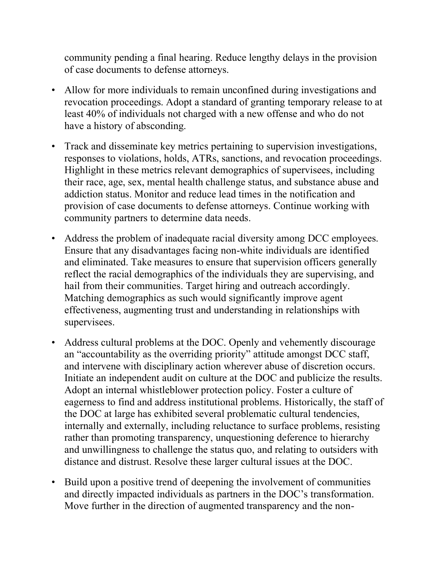community pending a final hearing. Reduce lengthy delays in the provision of case documents to defense attorneys.

- Allow for more individuals to remain unconfined during investigations and revocation proceedings. Adopt a standard of granting temporary release to at least 40% of individuals not charged with a new offense and who do not have a history of absconding.
- Track and disseminate key metrics pertaining to supervision investigations, responses to violations, holds, ATRs, sanctions, and revocation proceedings. Highlight in these metrics relevant demographics of supervisees, including their race, age, sex, mental health challenge status, and substance abuse and addiction status. Monitor and reduce lead times in the notification and provision of case documents to defense attorneys. Continue working with community partners to determine data needs.
- Address the problem of inadequate racial diversity among DCC employees. Ensure that any disadvantages facing non-white individuals are identified and eliminated. Take measures to ensure that supervision officers generally reflect the racial demographics of the individuals they are supervising, and hail from their communities. Target hiring and outreach accordingly. Matching demographics as such would significantly improve agent effectiveness, augmenting trust and understanding in relationships with supervisees.
- Address cultural problems at the DOC. Openly and vehemently discourage an "accountability as the overriding priority" attitude amongst DCC staff, and intervene with disciplinary action wherever abuse of discretion occurs. Initiate an independent audit on culture at the DOC and publicize the results. Adopt an internal whistleblower protection policy. Foster a culture of eagerness to find and address institutional problems. Historically, the staff of the DOC at large has exhibited several problematic cultural tendencies, internally and externally, including reluctance to surface problems, resisting rather than promoting transparency, unquestioning deference to hierarchy and unwillingness to challenge the status quo, and relating to outsiders with distance and distrust. Resolve these larger cultural issues at the DOC.
- Build upon a positive trend of deepening the involvement of communities and directly impacted individuals as partners in the DOC's transformation. Move further in the direction of augmented transparency and the non-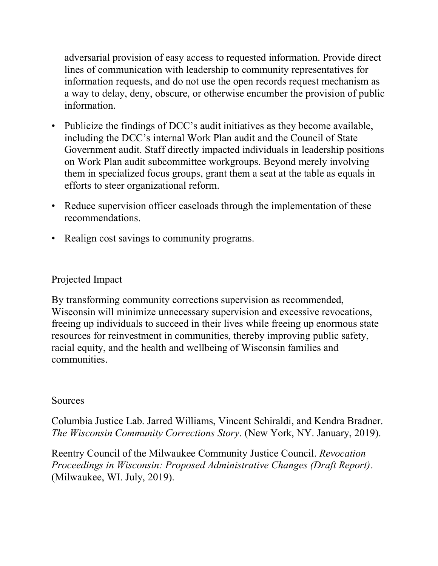adversarial provision of easy access to requested information. Provide direct lines of communication with leadership to community representatives for information requests, and do not use the open records request mechanism as a way to delay, deny, obscure, or otherwise encumber the provision of public information.

- Publicize the findings of DCC's audit initiatives as they become available, including the DCC's internal Work Plan audit and the Council of State Government audit. Staff directly impacted individuals in leadership positions on Work Plan audit subcommittee workgroups. Beyond merely involving them in specialized focus groups, grant them a seat at the table as equals in efforts to steer organizational reform.
- Reduce supervision officer caseloads through the implementation of these recommendations.
- Realign cost savings to community programs.

# Projected Impact

By transforming community corrections supervision as recommended, Wisconsin will minimize unnecessary supervision and excessive revocations, freeing up individuals to succeed in their lives while freeing up enormous state resources for reinvestment in communities, thereby improving public safety, racial equity, and the health and wellbeing of Wisconsin families and communities.

#### Sources

Columbia Justice Lab. Jarred Williams, Vincent Schiraldi, and Kendra Bradner. *The Wisconsin Community Corrections Story*. (New York, NY. January, 2019).

Reentry Council of the Milwaukee Community Justice Council. *Revocation Proceedings in Wisconsin: Proposed Administrative Changes (Draft Report)*. (Milwaukee, WI. July, 2019).